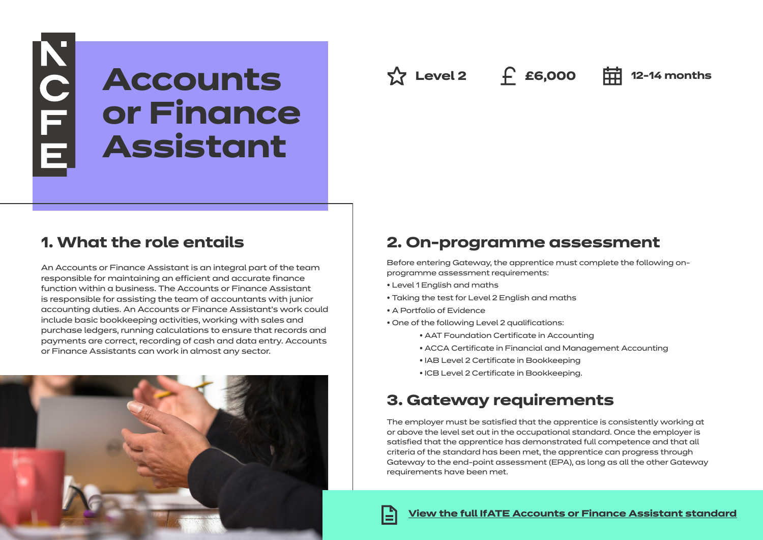# NOLLE<sub>E</sub> **Accounts or Finance Assistant**

**Level 2 £6,000 12-14 months**

### **1. What the role entails**

An Accounts or Finance Assistant is an integral part of the team responsible for maintaining an efficient and accurate finance function within a business. The Accounts or Finance Assistant is responsible for assisting the team of accountants with junior accounting duties. An Accounts or Finance Assistant's work could include basic bookkeeping activities, working with sales and purchase ledgers, running calculations to ensure that records and payments are correct, recording of cash and data entry. Accounts or Finance Assistants can work in almost any sector.



### **2. On-programme assessment**

Before entering Gateway, the apprentice must complete the following onprogramme assessment requirements:

- Level 1 English and maths
- Taking the test for Level 2 English and maths
- A Portfolio of Evidence
- One of the following Level 2 qualifications:
	- AAT Foundation Certificate in Accounting
	- ACCA Certificate in Financial and Management Accounting
	- IAB Level 2 Certificate in Bookkeeping
	- ICB Level 2 Certificate in Bookkeeping.

### **3. Gateway requirements**

The employer must be satisfied that the apprentice is consistently working at or above the level set out in the occupational standard. Once the employer is satisfied that the apprentice has demonstrated full competence and that all criteria of the standard has been met, the apprentice can progress through Gateway to the end-point assessment (EPA), as long as all the other Gateway requirements have been met.